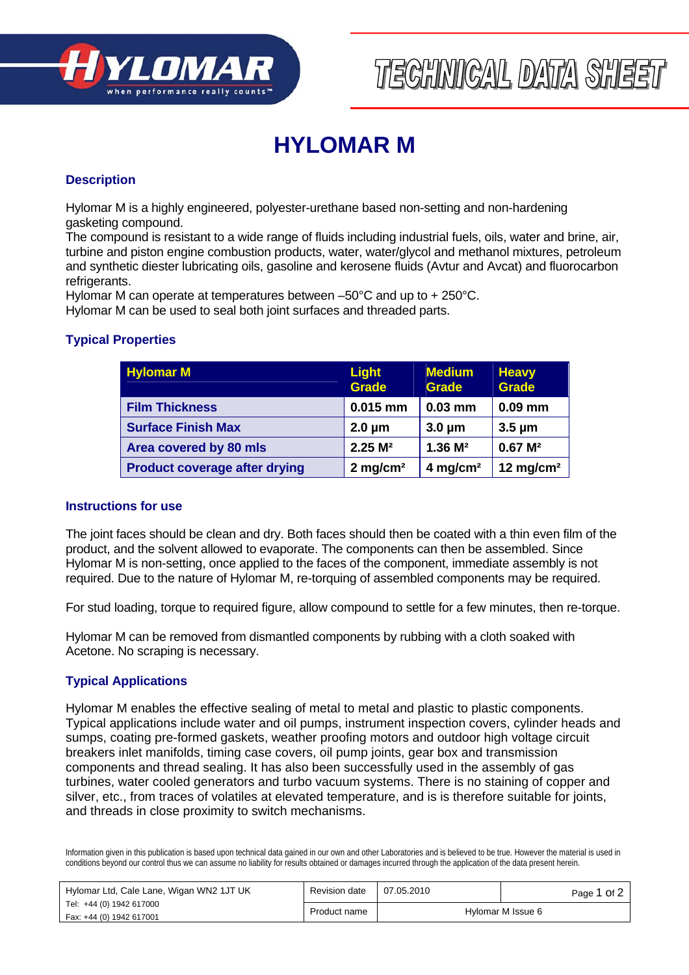

# TECHNICAL DATA SHEET

# **HYLOMAR M**

#### **Description**

Hylomar M is a highly engineered, polyester-urethane based non-setting and non-hardening gasketing compound.

The compound is resistant to a wide range of fluids including industrial fuels, oils, water and brine, air, turbine and piston engine combustion products, water, water/glycol and methanol mixtures, petroleum and synthetic diester lubricating oils, gasoline and kerosene fluids (Avtur and Avcat) and fluorocarbon refrigerants.

Hylomar M can operate at temperatures between –50°C and up to + 250°C.

Hylomar M can be used to seal both joint surfaces and threaded parts.

## **Typical Properties**

| <b>Hylomar M</b>                     | <b>Light</b><br><b>Grade</b> | <b>Medium</b><br><b>Grade</b> | <b>Heavy</b><br><b>Grade</b> |
|--------------------------------------|------------------------------|-------------------------------|------------------------------|
| <b>Film Thickness</b>                | $0.015$ mm                   | $0.03$ mm                     | $0.09$ mm                    |
| <b>Surface Finish Max</b>            | $2.0 \mu m$                  | $3.0 \mu m$                   | $3.5 \mu m$                  |
| Area covered by 80 mls               | $2.25 \text{ M}^2$           | $1.36 \text{ M}^2$            | $0.67 \, M^2$                |
| <b>Product coverage after drying</b> | $2$ mg/cm <sup>2</sup>       | $4$ mg/cm <sup>2</sup>        | 12 mg/cm $2$                 |

#### **Instructions for use**

The joint faces should be clean and dry. Both faces should then be coated with a thin even film of the product, and the solvent allowed to evaporate. The components can then be assembled. Since Hylomar M is non-setting, once applied to the faces of the component, immediate assembly is not required. Due to the nature of Hylomar M, re-torquing of assembled components may be required.

For stud loading, torque to required figure, allow compound to settle for a few minutes, then re-torque.

Hylomar M can be removed from dismantled components by rubbing with a cloth soaked with Acetone. No scraping is necessary.

## **Typical Applications**

Hylomar M enables the effective sealing of metal to metal and plastic to plastic components. Typical applications include water and oil pumps, instrument inspection covers, cylinder heads and sumps, coating pre-formed gaskets, weather proofing motors and outdoor high voltage circuit breakers inlet manifolds, timing case covers, oil pump joints, gear box and transmission components and thread sealing. It has also been successfully used in the assembly of gas turbines, water cooled generators and turbo vacuum systems. There is no staining of copper and silver, etc., from traces of volatiles at elevated temperature, and is is therefore suitable for joints, and threads in close proximity to switch mechanisms.

Information given in this publication is based upon technical data gained in our own and other Laboratories and is believed to be true. However the material is used in conditions beyond our control thus we can assume no liability for results obtained or damages incurred through the application of the data present herein.

| Hylomar M Issue 6<br>Product name | Hylomar Ltd, Cale Lane, Wigan WN2 1JT UK             | Revision date | 07.05.2010 | Page 1 Of 2 |
|-----------------------------------|------------------------------------------------------|---------------|------------|-------------|
|                                   | Tel: +44 (0) 1942 617000<br>Fax: +44 (0) 1942 617001 |               |            |             |